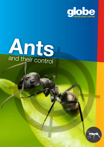



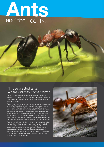

### "Those blasted ants! Where did they come from?"

There's no doubt that even the early cavemen would have uttered those very words in the Neanderthal tongue – maybe as they were sitting down to have a picnic feast on some woolly mammoth steaks.

When it comes to ants themselves, we humans have developed a "love/hate" relationship with them. We can admire them for their industry, their social behaviour, their ability to change their environment to suit themselves and their ability to defend themselves. We are not so fond of them when we find them inside our pantries, power points, electrical motors and even in our pants! They can be an economic pest in agriculture by attacking crop seed-beds or, more importantly, by guarding and transporting aphids and coccids harmful to crops and orchards.

We spare no efforts to rid them from our homes and immediate surroundings but can tolerate them when they confine their activities to the areas away from our dwellings. We can even watch them in admiration as they go about their business, removing dead animal carcasses from the environment and generally cleaning up. No matter what you think of ants, much time and effort has been expended studying them and also studying ways to eradicate them.

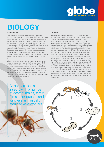

### BIOLOGY

#### Social insects

Ants belong to the Order Hymenoptera (Superfamily Formicoidea, Family Formicidae) along with bees and wasps. Many species from these three groups are "social insects," living together in colonies. In fact, the highest level of both communication and defence occur in the social groups. Communication via odours plays a part in sex attraction and territorial behaviour in the case of bumble bees. Ants use pheromones for trail making. To our distress, many ants, bees and wasps also "pack a punch" when it comes to stinging and/or biting. On the plus side, a large number of Hymenopterans play an important role in pollinating flowering plants with the honey bee *(Apis mellifera)* being the best known.

All ants are social insects with a number of castes: males, fertile females or queens and wingless and usually sterile female workers. The workers, all sterile females, may be subdivided into soldier castes sometimes major and minor types. There are more than 15,000 known species and subspecies throughout the world with around a tenth of those species found in Australia. They are found in all Australian states and territories with numerous species being found in bushland and rainforests.

#### Life cycle

Ants may vary in length from about 1 – 30 mm and are typically black, brown, red, yellow or a combination of these colours. They have a typical appearance with a "waist" between thorax and abdomen and a large metapleural gland opening on each side of the metathorax. They have elbowed antennae and mandibulate mouthparts. Some have a sting at the tip of the abdomen. They exhibit complete metamorphosis with the first eggs being laid by the queen in a small chamber. These eggs hatch into larvae which are white and grub-like. In some species the larvae spin a pupal cocoon but some remain naked. After pupation, the adult castes emerge. Males and females are usually produced at a fixed time of the year depending upon the species. When both males and females are winged, a mass nuptial mating flight or flights may occur. After mating, the unfortunate male staggers away and dies while the female sheds her wings and finds a suitable location to begin a new colony. There is a very high degree of mortality with these flying ants which is lucky for us otherwise we would be neck deep in ants. At the time of the nuptial flights, the ants are sometimes confused with termites, causing consternation in the hearts of many a homeowner and the pest manager who may be looking after the property!

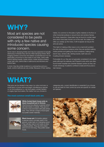# WHY?

### Most ant species are not considered to be pests with only a few native and introduced species causing some concern.

Some nest in decaying timber and may be suspected of actually destroying it whereas they will only infest decaying timber. Most foraging workers come from the exterior of premises but it is not particularly uncommon to find nests in roof voids, cavity walls, behind skirting boards, inside motors, inside window screens, under bath tubs, behind tiles in bathrooms and kitchens and behind taps.

In short, they like similar locations to cockroaches and as a result, control methods are very similar. Because of their nesting habits, it is common to find piles of gritty material on the floor or other horizontal surfaces or around door and window frames. On closer inspection, these piles may be found to contain dead ants which have been thrown out of the nest. No matter how often you sweep up the mess, it will re-appear as long as the ants are active.

This habit of making a little mess is not a mammoth problem but ants do become a nuisance when they are spotted walking inside pantries and getting into food containers, trailing along bench tops, window sills, skirting boards, bath tubs and invading shower recesses.

Fortunately for us, they are not generally considered to be health pests although the relatively rare Pharaoh's ants which are often found inside hospitals are potential disease carriers as they can invade dressings of patients confined to beds and thus pose a real menace.

### WHAT?

Pest ants can be divided in two ways: by colour and size i.e. small black or brown ants and larger miscellaneous species or, by food preference i.e. oily food eaters, protein feeders or sugary-type food eaters. No matter how you choose to

### The most common small black ants are:

categorise ants, correct identification is essential if you choose to use ant baits for their control as some are specific for certain ant species.

White-footed black house ants or, black household ant in Victoria *(Technomyrmex albipes)* a species which will nest inside or outside. They are 2.5- 3.0mm in size and black with pale amber tarsi. They will eat a range of food types but prefer sweet materials.



Black house ant *(Ochetellus glaber)*  a species which normally nests in the ground, under bark or in decaying wood. They will also nest in roof voids or other building cavities. They are shiny black and 2.0-3.0 mm long. They prefer sweet foods.

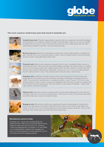

### The most common small brown pest ants found in Australia are:



Coastal brown ants *(Pheidole megacephala)* a species which can usually be found within buildings and under paths or in rockeries, throwing out piles of soil and debris. They are 1.5-3.0 mm in length and light brown to brown in colour. They have both major and minor soldier castes with the major caste having a relatively huge head. They eat proteins and fats.



Brown house ant *(Doleromyrma darwiniana)* a species with similar nesting habits to coastal brown ants. They are 2.0-3.0 mm in size and brown in colour. There is a distinct odour of formic acid when they are crushed. They prefer high protein foods.



Pharaoh's ants *(Monomorium pharaonis)* a species which is rare in Australia but fairly common in Europe and the USA. They commonly nest inside buildings especially near warmer areas e.g. heating ducts. They form large colonies with multiple queens which can take a number of workers with them and start new colonies if disturbed by insecticides. The ants are 1.5-2.0 mm in size, light yellowish brown to darker brown in colour. They will eat protein foods plus fatty or sweet foods.



Argentine ants *(Linepithema humile)* a species which was introduced from South America and is regarded as a very serious pest which has been the target of eradication campaigns since the 1950's. They may nest in exposed soil or concealed by plants or logs. They are 1.5-3.0 mm in size and light brown to brown in colour. They are very aggressive ants and drive out other ant species and other animals from their nesting areas. They will consume a wide range of foodstuffs - sweet foods, meat, insects, seeds and honeydew.



Odorous ants *(Tapinoma minutum)* a species which will nest inside buildings and in wall voids and sub-floors. They are 2.0-3.0 mm in size and brown to dark brown in colour. They will eat sweet foods but will also feed upon meat and household scraps.



Singapore ants *(Monomorium destructor)* a species with similar nesting habits to coastal brown ants but has also been found nesting in electrical switch boxes and can chew through plastic and rubber. They are 2.0-3.0 mm in size and light brown with a darker posterior abdomen. They can bite and sting. They will also feed upon both animal and sweet foods

#### Miscellaneous species include:

Carpenter ants, Jumper ants, Bulldog (Bull) ants, Greenhead ants, Meat ants and Imported Red Fire Ants. Details on these ants can be found in our old friend, "Urban Pest Management in Australia" or on the CSIRO or your State Museum website. Pest managers do carry out control measures on these species but not as commonly as with the foregoing species.

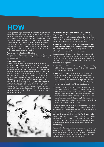## **HOW**

In the "good old days," control measures were unsophisticated to say the least. The "pestie" would back up his truck into the driveway, unroll a long hose and proceed to deluge the front and backyard with around 60 litres of an organochlorine insecticide. This was termed a "blanket spray." The spray would be applied to all lawns, gardens, pathways, fence lines and the base of the house. It may have been applied to the subfloor area where there was one. The roof void would have been dusted with a synthetic pyrethroid powder and maybe even a space spray with Dichlorvos carried out to the interior.

#### Was this an effective form of treatment?

Well, despite what you would suppose, it often wasn't and many a call-back was carried out because the ants were still trailing up the back wall.

#### Why wasn't it effective?

Basically because there was never any effort to locate the nests and the insecticide would have killed many workers but left the nest and all the larvae and pupae untouched, ready to emerge as adults. The insecticide emulsion would be absorbed by porous surfaces and not readily available for pick up by the insects. However, it was the only method used and nobody ever questioned it (apart from the clients who still had ants of course!). Later modifications involved reducing the quantity of insecticide by only spraying a "grid pattern" across the property. By this time, organochlorines were not available and organophosphates, primarily, chlorpyrifos, were used. This was more toxic and much more smelly and possibly most importantly, much more expensive than the organochlorines. The saviour of the pest management world was the introduction of very effective ant baits – solids, liquids or viscous gels. Finally, we could control ants!



#### So, what are the rules for successful ant control?

As you may guess, the first rule is to carry out a: Thorough Inspection A good starting point is to talk to the clients. Their children might be more knowledgeable on the ants' activities as they are more likely to spend time looking at them.

You may use questions such as: "Where have you seen them?" "When?" "How often?" "Are there any moisture problems in the house?" As usual, they may not be able to offer anything of value but they may surprise you.

If you can obtain a floor plan, mark the areas where the ants are tracking. This may help you in establishing the site of the nest and will be helpful when planning baiting strategies. If you can't obtain any assistance from the occupants, you will need to inspect the following areas:

- Kitchens bench tops, along skirting boards, window sills, inside cupboards, inside refrigerator motors, behind taps and wall tiles and under the sink;
- Other interior areas along skirting boards, under carpet edges, window sills, around power points (be careful of electricity), along electrical cables and behind taps and tiles in the bathroom. Look for small piles of grit, sand and dead ants. These piles will form directly underneath ant activity, so look above and you will hopefully see ants tracking;
- Exterior ants could be almost anywhere. They might be trailing along fence rails, on paths, in the lawn or in garden areas. Some species e.g. *Camponotus*, may be more active during the night and you may need to leave some food out to see if it has been taken. Following an indoor ant trail that seems to disappear suddenly, you may find them appearing outside near the point of disappearance. If not, they could be nesting inside a cavity wall or roof void.

Since they are social insects, all ants require a nest from which to operate. Some species will nest in decaying wood, some in soil, some in soil beneath items and some will readily nest inside dwellings in a wide range of locations. Some (black ants) have been found nesting in vehicles – the First Aid kit in a glove box and inside the wing mirror of a pest control vehicle! When you are searching for nests, look for small piles of grit, sand and dead ants. These piles will form directly underneath ant activity, or directly adjacent so look above and you will hopefully see ants tracking.

If you can find the nest, it makes your job easier as you can treat it directly. If not, you will have to rely upon sprays, dusts or baits. These will take longer but, when used correctly, will still provide good control. When using baits, the key is to correctly identify the ant species so that you can use the right bait.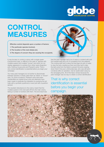

### CONTROL MEASURES

Effective control depends upon a number of factors:

- 1.The particular species involved,
- 2.The location of the nest site(s) and,
- 3.The degree of concern they are causing the occupants.

It may be easy to control a colony with a single queen (*Camponotus* spp), or difficult in the case of species with multiple queens and multiple "homes" and which do not display aggression to workers from other nests (Argentine ants, Odorous house ants and Pharaoh's ants). That is why correct identification is essential before you begin your campaign.

Too many pest managers do not bother to discriminate between species or simply class them as "black" or "brown" ants. On some occasions, Pharaoh's ants have been misidentified as coastal brown ants and attempts have been made to eradicate the infestation by spraying the ant trails with a synthetic pyrethroid or even just with a pyrethrin aerosol.

The resultant disturbance to the colony meant that the multiple queens in the nest split off from the main colony, taking a number of workers with them. The end result was

that the pest manager had a lot of nests to contend with and the hospital staff had a lot of complaints from the patients! The nursing staff had to place the bed legs into jars of water to stop the ants crawling up them and they had to take the bell cords from the beds to prevent the ants crawling down them! One poor unfortunate lady, who was still semicomatose after an operation, had an eyelid eaten away by the rampaging ants. All of this fiasco simply because the pest manager was too lazy to obtain a correct identification!

That is why correct identification is essential before you begin your campaign.

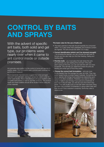### CONTROL BY BAITS AND SPRAYS

With the advent of specific ant baits, both solid and gel type, our problems were nearly over when it came to ant control inside or outside premises.

Ant granules were perfect for the control of some ant species to exterior areas. One formulation even controls pest cockroaches just for good measure!

Most insecticide manufacturers suggest that a two-pronged approach with both baits and liquid sprays be used in order to obtain best results. These manufacturers all supply bulletins with complete instructions on how to use their products. The product labels and these bulletins should all be studied before using any of the materials.



#### The basic rules for the use of baits are:

- The basic premise is that bait should hopefully be consumed within 1 to 2 days when their palatability and moisture content are highest. The ants should die within 3 to 4 days.
- Correct identification (which can't be stressed enough!) – by knowing the species, you can choose the right bait for the job and can also help you find their feeding, trailing and nesting sites.
- $\bullet$  Find the trails you must place the bait where the ants are otherwise you are wasting time and bait. If the ants aren't active at the time, you can pre-bait first with non-toxic foodstuffs. This will help you determine where the ants are feeding and what type of food they prefer.
- Choose the correct bait formulation ants are more finicky feeders than the average two year old child. They may prefer sweet foods or protein based materials. Sometimes the same species will change food preferences depending upon seasons or other conditions. Therefore, you need to have a range of baits in your kit bag. If you just put a small blob of each bait in the ant trails, you will very soon find which they prefer. They will usually jump on the bait within seconds! Using ant baits has a number of similarities to using rodent baits and that shouldn't be a surprise to anybody. Some key rules to observe are:

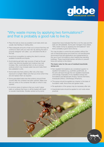

### "Why waste money by applying two formulations?" and that is probably a good rule to live by.

- Place the bait as close as possible to ant trails which are usually near feeding or nesting sites.
- Place adequate amounts of bait out to ensure that they will continue to feed until your next visit. By placing the bait in purpose designed "ant cafes," you will extend the life of the bait.
- Avoid food competition by asking the client to remove available foodstuffs and liquids.
- Avoid placing gel baits near sources of heat as the gel matrix may become liquefied and moisture loss may increase. Also, avoid placing them on dry or porous surfaces which may increase water loss and make them less palatable to ants.
- Some baits lose their potency after only a few days exposure to sunlight. Make sure that you know which they are and replace them as required.
- Some granulated baits lose their potency around three months after the container has been opened. Make sure that you write on the container the date on which it was opened.
- A common piece of advice is that you mustn't place baits on surfaces that have or will be treated with liquid or powder insecticides. Studies carried out by some

researchers have indicated that this is not the case and the baits are still palatable. Some pest managers have stated, "Why waste money by applying two formulations?" and that is probably a good rule to live by.

You may be able to control the ant problem without the use of insecticidal sprays and dusts but, all manufacturers recommend that bait applications are supplemented by the use of such formulations when treating free standing buildings. These insecticidal barriers will serve to prevent future ant activity to the interior.

#### The basic rules for the use of residual insecticide sprays are:

- Non-repellent formulations are considered superior to repellent formulations e.g. synthetic pyrethroids, as the ants will track through the non-repellent insecticide unknowingly. Examples of non-repellent actives and formulations are Bendiocarb (Ficam), Fipronil (Termidor), Indoxacarb (Arilon), Chlorfenapyr (Phantom).
- The sprays should be applied as a barrier to the base of foundation walls, fence lines and garden beds.
- Re-application of the sprays may be necessary after rain.
- Insecticidal dusts should be applied to roof voids where practical.

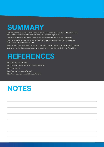## **SUMMARY**

Ants are generally considered a nuisance when they invade your home or workplace but tolerated when they confine their activities to the exterior (except when you're having a picnic!).

Ants are little creatures whose infinite capacity for hard work inspires admiration from observers.

Ant control used to be quite difficult before the advent of effective gel/liquid baits but is now relatively straightforward if you follow all the rules.

Ants perform a very useful function in nature by generally cleaning up the environment and aerating the soil.

Ants should not be killed unless there is a good reason to do so e.g. they nest inside your First Aid kit

### REFERENCES

http://anic.ento.csiro.au/ants/ http://australianmuseum.net.au/Ants-family-formicidae/ http://lifeunseen.co http://www.dpi.qld.gov.au (Fire ants) http://www.ozanimals.com/wildlife/Insect/Ants.html

# **NOTES**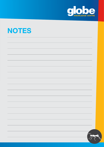

| <b>NOTES</b> |  |
|--------------|--|
|--------------|--|

|  | 325 |
|--|-----|